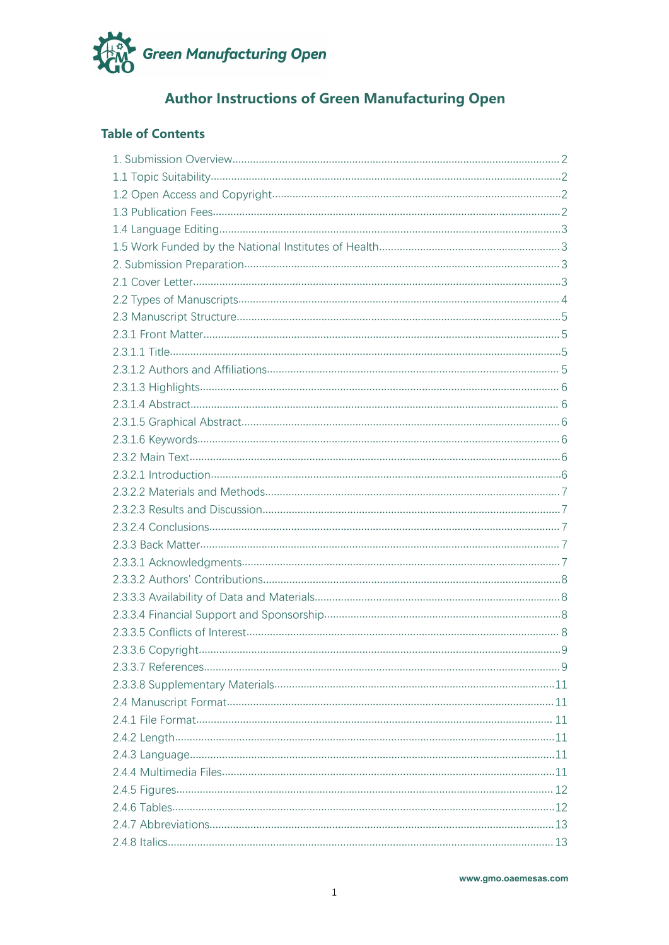

# **Author Instructions of Green Manufacturing Open**

# **Table of Contents**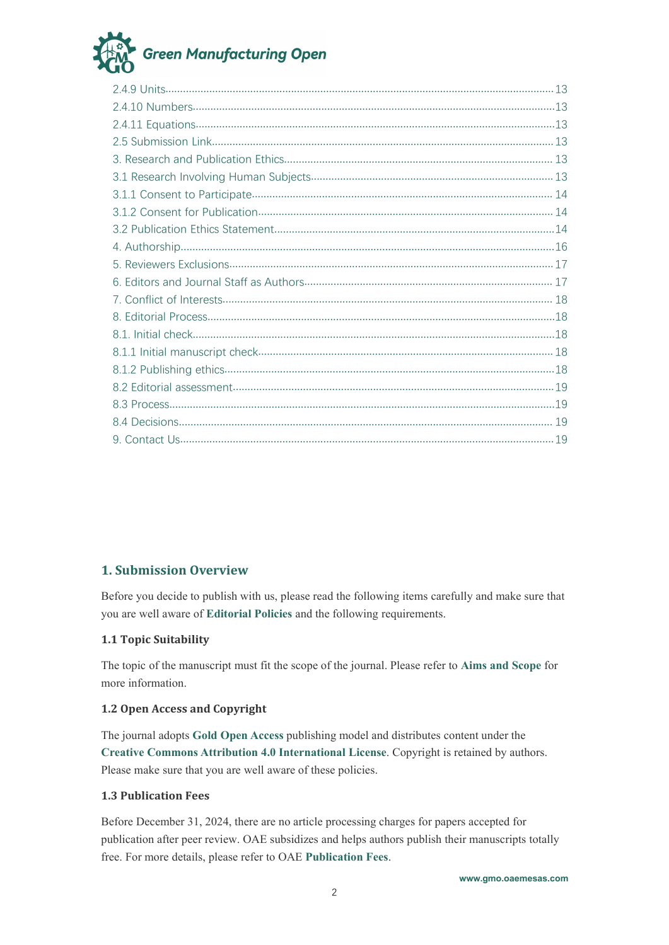# **Green Manufacturing Open**

# <span id="page-1-0"></span>**1. Submission Overview**

Before you decide to publish with us, please read the following items carefully and make sure that you are well aware of **[Editorial](https://oaepublish.com/index.php/gmo/pages/view/editorial_policies) Policies** and the following requirements.

# <span id="page-1-1"></span>**1.1 Topic Suitability**

The topic of the manuscript must fit the scope of the journal. Please refer to **Aims and [Scope](https://oaepublish.com/gmo/pages/view/aims_and_scope)** for more information.

# <span id="page-1-2"></span>**1.2 Open Access and Copyright**

The journal adopts Gold Open [Access](https://oaepublish.com/pages/view/open_access_policy) publishing model and distributes content under the **Creative Commons Attribution 4.0 International License**. Copyright is retained by authors.Please make sure that you are well aware of these policies.

#### <span id="page-1-3"></span>**1.3 Publication Fees**

Before December 31,2024, there are no article processing charges for papers accepted for publication after peer review. OAE subsidizes and helps authors publish their manuscripts totally free. For more details, please referto OAE **[Publication](https://oaepublish.com/pages/view/publication_fees) Fees**.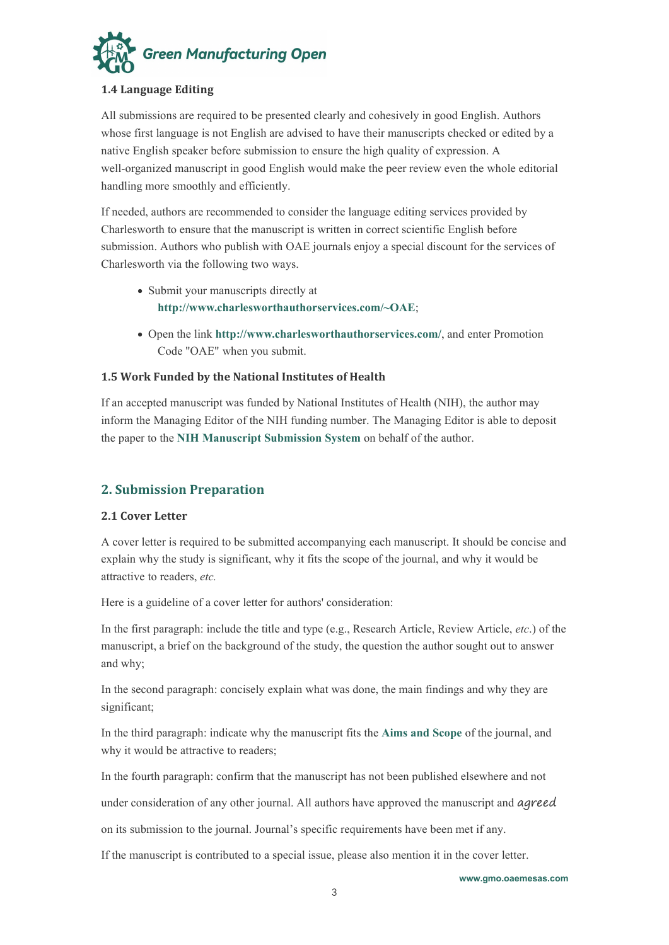

# <span id="page-2-0"></span>**1.4 Language Editing**

All submissions are required to be presented clearly and cohesively in good English. Authors whose first language is not English are advised to have their manuscripts checked or edited by a native English speaker before submission to ensure the high quality of expression. A well-organized manuscript in good English would make the peer review even the whole editorial handling more smoothly and efficiently.

If needed, authors are recommended to consider the language editing services provided by Charlesworth to ensure that the manuscript is written in correct scientific English before submission. Authors who publish with OAE journals enjoy a special discount for the services of Charlesworth via the following two ways.

- Submit your manuscripts directly at **<http://www.charlesworthauthorservices.com/~OAE>**;
- Open the link **<http://www.charlesworthauthorservices.com/>**, and enter Promotion Code "OAE" when you submit.

# <span id="page-2-1"></span>**1.5 Work Funded by the NationalInstitutes of Health**

If an accepted manuscript was funded by National Institutes of Health (NIH), the author may inform the Managing Editor of the NIH funding number. The Managing Editor is able to deposit the paper to the **NIH [Manuscript](http://nihms.nih.gov/) Submission System** on behalf of the author.

# <span id="page-2-2"></span>**2. Submission Preparation**

# <span id="page-2-3"></span>**2.1 Cover Letter**

A cover letter is required to be submitted accompanying each manuscript. It should be concise and explain why the study is significant, why it fits the scope of the journal, and why it would be attractive to readers, *etc.*

Here is a guideline of a cover letter for authors' consideration:

In the first paragraph: include the title and type (e.g., Research Article, Review Article, *etc*.) of the manuscript, a brief on the background of the study, the question the author sought out to answer and why;

In the second paragraph: concisely explain what was done, the main findings and why they are significant;

In the third paragraph: indicate why the manuscript fits the **Aims and [Scope](https://oaepublish.com/gmo/pages/view/aims_and_scope)** of the journal, and why it would be attractive to readers;

In the fourth paragraph: confirm that the manuscript has not been published elsewhere and not

under consideration of any other journal. All authors have approved the manuscript and agreed

on its submission to the journal. Journal's specific requirements have been met if any.

If the manuscript is contributed to a special issue, please also mention it in the cover letter.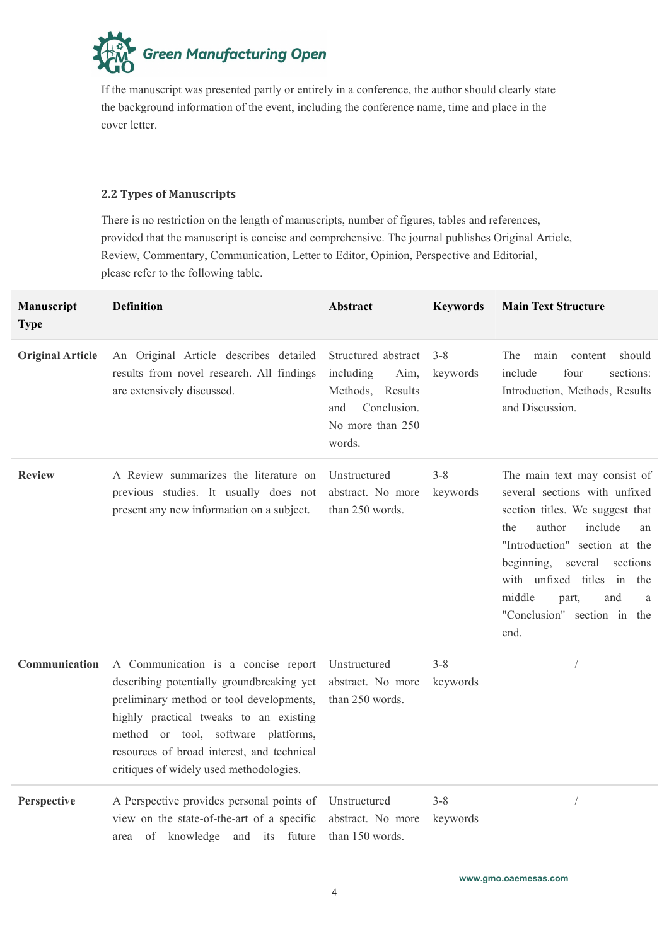**Green Manufacturing Open** 

If the manuscript was presented partly or entirely in a conference, the author should clearly state the background information of the event, including the conference name, time and place in the cover letter.

# <span id="page-3-0"></span>**2.2 Types of Manuscripts**

There is no restriction on the length of manuscripts, number of figures, tables and references, provided that the manuscript is concise and comprehensive. The journal publishes Original Article, Review, Commentary, Communication, Letter to Editor, Opinion, Perspective and Editorial, please refer to the following table.

| Manuscript<br><b>Type</b> | <b>Definition</b>                                                                                                                                                                                                                                                                                      | Abstract                                                                                                         | <b>Keywords</b>     | <b>Main Text Structure</b>                                                                                                                                                                                                                                                                                |
|---------------------------|--------------------------------------------------------------------------------------------------------------------------------------------------------------------------------------------------------------------------------------------------------------------------------------------------------|------------------------------------------------------------------------------------------------------------------|---------------------|-----------------------------------------------------------------------------------------------------------------------------------------------------------------------------------------------------------------------------------------------------------------------------------------------------------|
| <b>Original Article</b>   | An Original Article describes detailed<br>results from novel research. All findings<br>are extensively discussed.                                                                                                                                                                                      | Structured abstract<br>including<br>Aim,<br>Methods, Results<br>Conclusion.<br>and<br>No more than 250<br>words. | $3 - 8$<br>keywords | main<br>The<br>content<br>should<br>include<br>four<br>sections:<br>Introduction, Methods, Results<br>and Discussion.                                                                                                                                                                                     |
| <b>Review</b>             | A Review summarizes the literature on<br>previous studies. It usually does not<br>present any new information on a subject.                                                                                                                                                                            | Unstructured<br>abstract. No more<br>than 250 words.                                                             | $3 - 8$<br>keywords | The main text may consist of<br>several sections with unfixed<br>section titles. We suggest that<br>author<br>include<br>the<br>an<br>"Introduction" section at the<br>beginning, several sections<br>with unfixed titles in<br>the<br>middle<br>and<br>part,<br>a<br>"Conclusion" section in the<br>end. |
| Communication             | A Communication is a concise report<br>describing potentially groundbreaking yet<br>preliminary method or tool developments,<br>highly practical tweaks to an existing<br>method or tool, software platforms,<br>resources of broad interest, and technical<br>critiques of widely used methodologies. | Unstructured<br>abstract. No more<br>than 250 words.                                                             | $3 - 8$<br>keywords |                                                                                                                                                                                                                                                                                                           |
| Perspective               | A Perspective provides personal points of Unstructured<br>view on the state-of-the-art of a specific<br>area of knowledge and its future                                                                                                                                                               | abstract. No more<br>than 150 words.                                                                             | $3 - 8$<br>keywords | $\bigg)$                                                                                                                                                                                                                                                                                                  |

**[www.gmo.oaemesas.com](https://energymaterj.com/index.php/gmo)**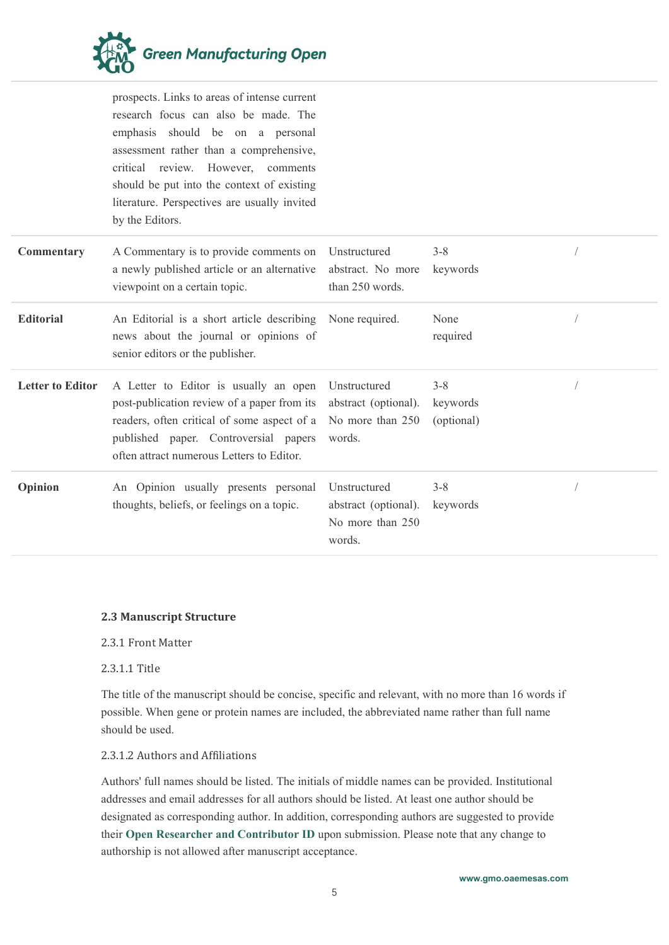

prospects. Links to areas of intense current research focus can also be made. The emphasis should be on a personal assessment rather than a comprehensive, critical review. However, comments should be put into the context of existing literature. Perspectives are usually invited by the Editors.

| Commentary              | A Commentary is to provide comments on<br>a newly published article or an alternative<br>viewpoint on a certain topic.                                                                                                                                          | Unstructured<br>abstract. No more<br>than 250 words.               | $3 - 8$<br>keywords               |  |
|-------------------------|-----------------------------------------------------------------------------------------------------------------------------------------------------------------------------------------------------------------------------------------------------------------|--------------------------------------------------------------------|-----------------------------------|--|
| <b>Editorial</b>        | An Editorial is a short article describing None required.<br>news about the journal or opinions of<br>senior editors or the publisher.                                                                                                                          |                                                                    | None<br>required                  |  |
| <b>Letter to Editor</b> | A Letter to Editor is usually an open<br>post-publication review of a paper from its abstract (optional).<br>readers, often critical of some aspect of a No more than 250<br>published paper. Controversial papers<br>often attract numerous Letters to Editor. | Unstructured<br>words.                                             | $3 - 8$<br>keywords<br>(optional) |  |
| Opinion                 | An Opinion usually presents personal<br>thoughts, beliefs, or feelings on a topic.                                                                                                                                                                              | Unstructured<br>abstract (optional).<br>No more than 250<br>words. | $3 - 8$<br>keywords               |  |

#### <span id="page-4-0"></span>**2.3 Manuscript Structure**

#### <span id="page-4-1"></span>2.3.1 Front Matter

## <span id="page-4-2"></span>2.3.1.1 Title

The title of the manuscript should be concise, specific and relevant, with no more than 16 words if possible. When gene or protein names are included, the abbreviated name rather than full name should be used.

# <span id="page-4-3"></span>2.3.1.2 Authors and Affiliations

Authors' full names should be listed. The initials of middle names can be provided. Institutional addresses and email addresses for all authors should be listed. At least one author should be designated as corresponding author. In addition, corresponding authors are suggested to provide their **Open Researcher and [Contributor](https://orcid.org/) ID** upon submission. Please note that any change to authorship is not allowed after manuscript acceptance.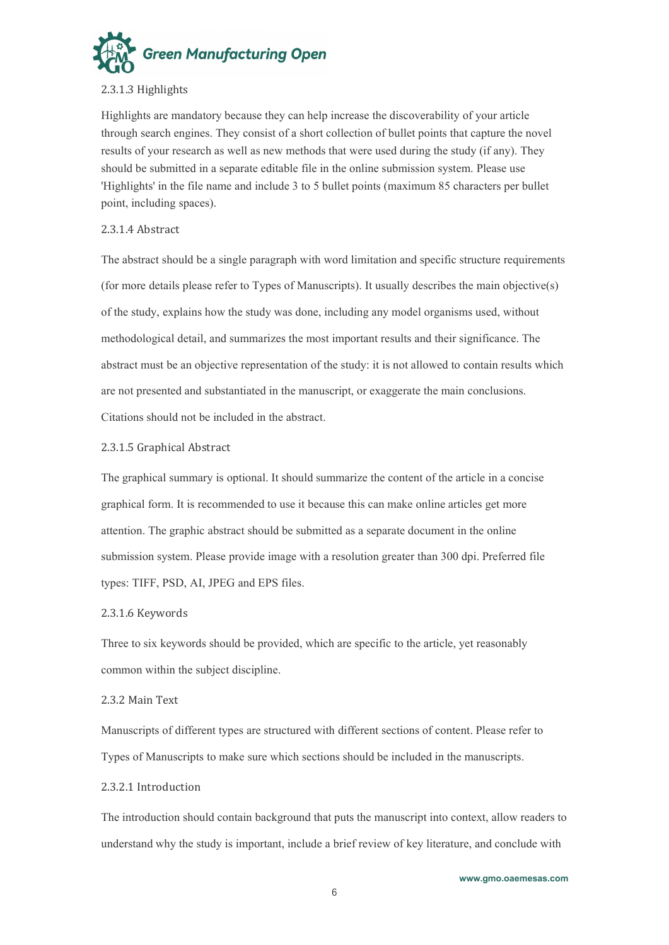

#### <span id="page-5-0"></span>2.3.1.3 Highlights

Highlights are mandatory because they can help increase the discoverability of your article through search engines. They consist of a short collection of bullet points that capture the novel results of your research as well as new methods that were used during the study (if any). They should be submitted in a separate editable file in the online submission system. Please use 'Highlights' in the file name and include 3 to 5 bullet points (maximum 85 characters per bullet point, including spaces).

#### <span id="page-5-1"></span>2.3.1.4 Abstract

The abstract should be a single paragraph with word limitation and specific structure requirements (for more details please referto Types of Manuscripts). It usually describes the main objective(s) of the study, explains how the study was done, including any model organisms used, without methodological detail, and summarizes the most important results and their significance. The abstract must be an objective representation of the study: it is not allowed to contain results which are not presented and substantiated in the manuscript, or exaggerate the main conclusions. Citations should not be included in the abstract.

#### <span id="page-5-2"></span>2.3.1.5 Graphical Abstract

The graphical summary is optional.It should summarize the contentof the article in a concise graphical form. It is recommended to use it because this can make online articles get more attention. The graphic abstract should be submitted as a separate document in the online submission system. Please provide image with a resolution greater than 300 dpi. Preferred file types: TIFF, PSD, AI, JPEG and EPS files.

#### <span id="page-5-3"></span>2.3.1.6 Keywords

Three to six keywords should be provided, which are specific to the article, yet reasonably common within the subject discipline.

#### <span id="page-5-4"></span>2.3.2 Main Text

Manuscripts of different types are structured with different sections of content. Please refer to Types of Manuscripts to make sure which sections should be included in the manuscripts.

#### <span id="page-5-5"></span>2.3.2.1 Introduction

The introduction should contain background that puts the manuscript into context, allow readers to understand why the study is important, include a brief review of key literature, and conclude with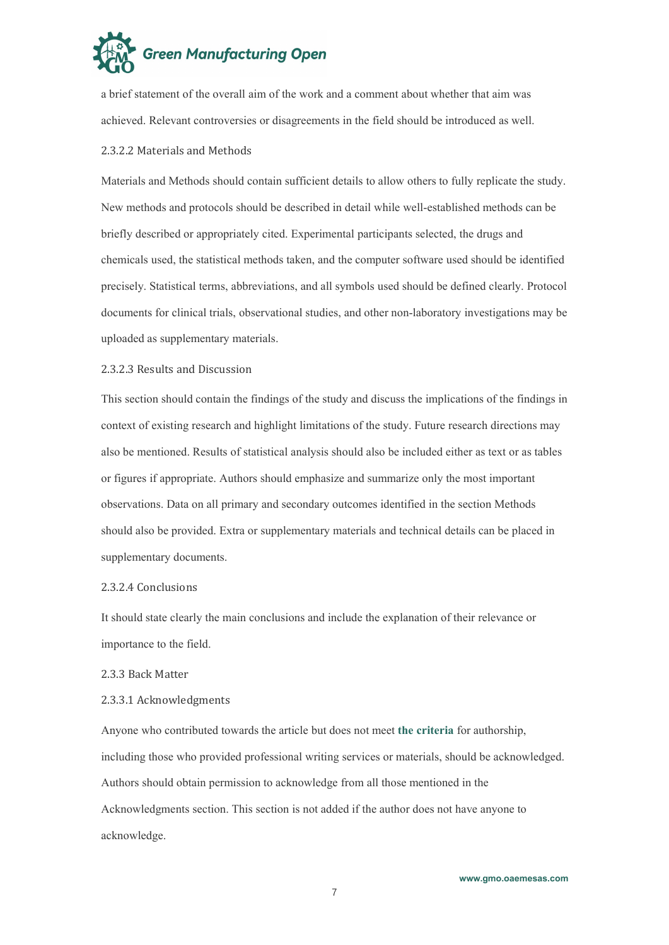

a brief statement of the overall aim of the work and a comment about whether that aim was achieved. Relevant controversies or disagreements in the field should be introduced as well.

#### <span id="page-6-0"></span>2.3.2.2 Materials and Methods

Materials and Methods should contain sufficient details to allow others to fully replicate the study. New methods and protocols should be described in detail while well-established methods can be briefly described or appropriately cited. Experimental participants selected, the drugs and chemicals used, the statistical methods taken, and the computer software used should be identified precisely. Statistical terms, abbreviations, and all symbols used should be defined clearly. Protocol documents for clinical trials, observational studies, and other non-laboratory investigations may be uploaded as supplementary materials.

#### <span id="page-6-1"></span>2.3.2.3 Results and Discussion

This section should contain the findings of the study and discuss the implications of the findings in context of existing research and highlight limitations of the study. Future research directions may also be mentioned. Results of statistical analysis should also be included either as text or as tables or figures if appropriate. Authors should emphasize and summarize only the most important observations. Data on all primary and secondary outcomes identified in the section Methods should also be provided. Extra or supplementary materials and technical details can be placed in supplementary documents.

#### <span id="page-6-2"></span>2.3.2.4 Conclusions

It should state clearly the main conclusions and include the explanation of their relevance or importance to the field.

<span id="page-6-3"></span>2.3.3 Back Matter

#### <span id="page-6-4"></span>2.3.3.1 Acknowledgments

Anyone who contributed towards the article but does not meet **the [criteria](http://www.icmje.org/recommendations/browse/roles-and-responsibilities/defining-the-role-of-authors-and-contributors.html)** for authorship, including those who provided professional writing services or materials, should be acknowledged. Authors should obtain permission to acknowledge from all those mentioned in the Acknowledgments section. This section is not added if the author does not have anyone to acknowledge.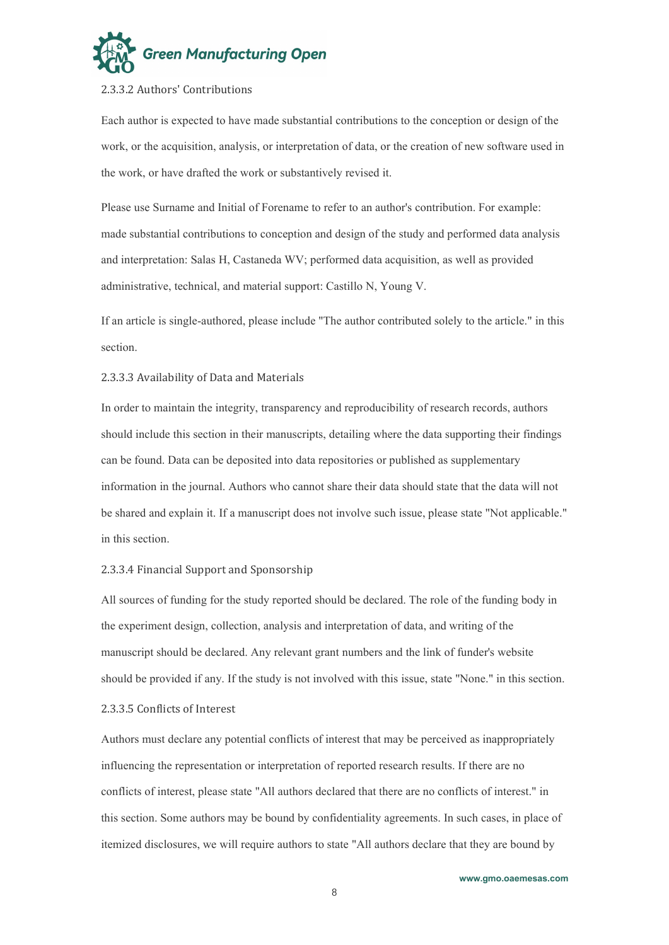

#### <span id="page-7-0"></span>2.3.3.2 Authors' Contributions

Each author is expected to have made substantial contributions to the conception or design of the work, or the acquisition, analysis, or interpretation of data, or the creation of new software used in the work, or have drafted the work or substantively revised it.

Please use Surname and Initial of Forename to refer to an author's contribution. For example: made substantial contributions to conception and design of the study and performed data analysis and interpretation: Salas H, Castaneda WV; performed data acquisition, as well as provided administrative, technical, and material support: Castillo N, Young V.

If an article is single-authored, please include "The author contributed solely to the article." in this section.

#### <span id="page-7-1"></span>2.3.3.3 Availability of Data and Materials

In order to maintain the integrity, transparency and reproducibility of research records, authors should include this section in their manuscripts, detailing where the data supporting their findings can be found. Data can be deposited into data repositories or published as supplementary information in the journal. Authors who cannot share their data should state that the data will not be shared and explain it. If a manuscript does not involve such issue, please state "Not applicable." in this section.

#### <span id="page-7-2"></span>2.3.3.4 Financial Support and Sponsorship

All sources offunding for the study reported should be declared. The role of the funding body in the experiment design, collection, analysis and interpretation of data, and writing of the manuscript should be declared. Any relevant grant numbers and the link of funder's website should be provided if any. If the study is not involved with this issue, state "None." in this section.

#### <span id="page-7-3"></span>2.3.3.5 Conflicts of Interest

Authors must declare any potential conflicts of interest that may be perceived as inappropriately influencing the representation or interpretation of reported research results. If there are no conflicts of interest, please state "All authors declared that there are no conflicts of interest." in this section. Some authors may be bound by confidentiality agreements. In such cases, in place of itemized disclosures, we will require authors to state "All authors declare that they are bound by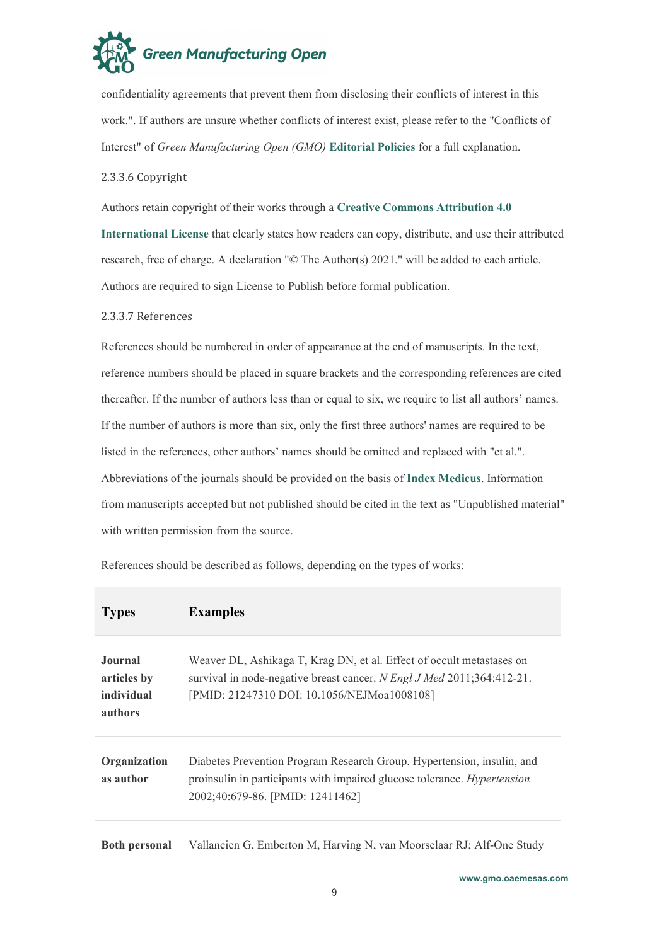

confidentiality agreements that prevent them from disclosing their conflicts ofinterest in this work.". If authors are unsure whether conflicts of interest exist, please refer to the "Conflicts of Interest" of *Green Manufacturing Open (GMO)* **[Editorial](https://oaepublish.com/index.php/gmo/pages/view/editorial_policies) Policies** for a full explanation.

<span id="page-8-0"></span>2.3.3.6 Copyright

Authors retain copyright of their works through a **Creative Commons [Attribution](http://creativecommons.org/licenses/by/4.0) 4.0**

**International License** that clearly states how readers can copy, distribute, and use their attributed research, free of charge. A declaration "© The Author(s) 2021." will be added to each article. Authors are required to sign License to Publish before formal publication.

### <span id="page-8-1"></span>2.3.3.7 References

References should be numbered in order of appearance at the end of manuscripts. In the text, reference numbers should be placed in square brackets and the corresponding references are cited thereafter. If the number of authors less than or equal to six, we require to list all authors' names. If the number of authors is more than six, only the first three authors' names are required to be listed in the references, other authors' names should be omitted and replaced with "et al.". Abbreviations ofthe journals should be provided on the basis of **Index [Medicus](http://www2.bg.am.poznan.pl/czasopisma/medicus.php?lang=eng)**. Information from manuscripts accepted but not published should be cited in the textas "Unpublished material" with written permission from the source.

| <b>Examples</b><br><b>Types</b>                                                                                                                                                                                                                          |
|----------------------------------------------------------------------------------------------------------------------------------------------------------------------------------------------------------------------------------------------------------|
| Journal<br>Weaver DL, Ashikaga T, Krag DN, et al. Effect of occult metastases on<br>survival in node-negative breast cancer. N Engl J Med 2011;364:412-21.<br>articles by<br>individual<br>[PMID: 21247310 DOI: 10.1056/NEJMoa1008108]<br><b>authors</b> |
| Diabetes Prevention Program Research Group. Hypertension, insulin, and<br>Organization<br>proinsulin in participants with impaired glucose tolerance. <i>Hypertension</i><br>as author<br>2002;40:679-86. [PMID: 12411462]                               |

References should be described as follows, depending on the types of works:

**Both personal** Vallancien G, Emberton M, Harving N, van Moorselaar RJ; Alf-One Study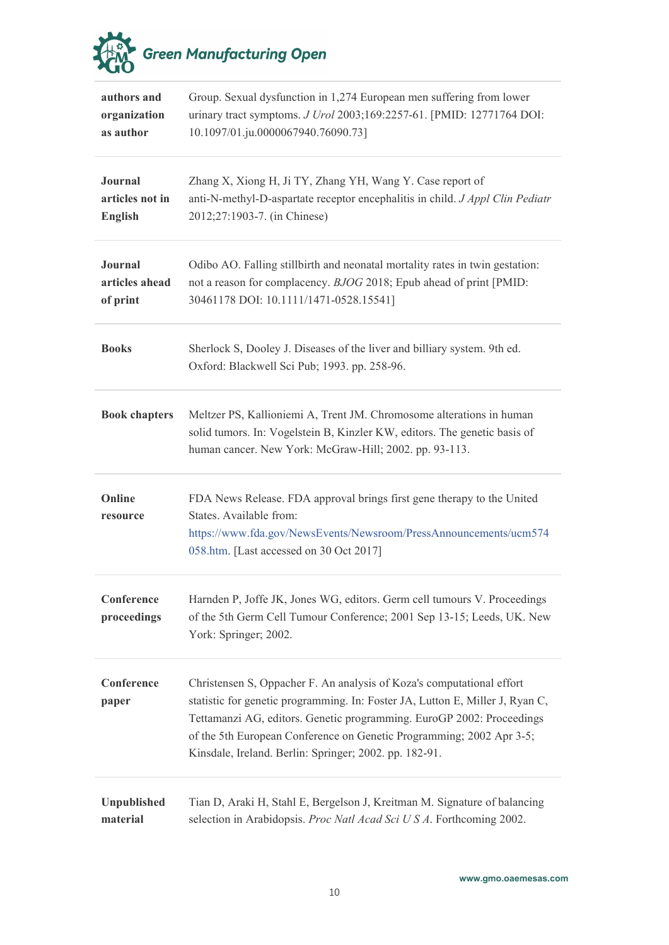

| authors and<br>organization<br>as author     | Group. Sexual dysfunction in 1,274 European men suffering from lower<br>urinary tract symptoms. J Urol 2003;169:2257-61. [PMID: 12771764 DOI:<br>10.1097/01.ju.0000067940.76090.73]                                                                                                                                                                               |
|----------------------------------------------|-------------------------------------------------------------------------------------------------------------------------------------------------------------------------------------------------------------------------------------------------------------------------------------------------------------------------------------------------------------------|
| Journal<br>articles not in<br><b>English</b> | Zhang X, Xiong H, Ji TY, Zhang YH, Wang Y. Case report of<br>anti-N-methyl-D-aspartate receptor encephalitis in child. J Appl Clin Pediatr<br>2012;27:1903-7. (in Chinese)                                                                                                                                                                                        |
| Journal<br>articles ahead<br>of print        | Odibo AO. Falling stillbirth and neonatal mortality rates in twin gestation:<br>not a reason for complacency. BJOG 2018; Epub ahead of print [PMID:<br>30461178 DOI: 10.1111/1471-0528.15541]                                                                                                                                                                     |
| <b>Books</b>                                 | Sherlock S, Dooley J. Diseases of the liver and billiary system. 9th ed.<br>Oxford: Blackwell Sci Pub; 1993. pp. 258-96.                                                                                                                                                                                                                                          |
| <b>Book chapters</b>                         | Meltzer PS, Kallioniemi A, Trent JM. Chromosome alterations in human<br>solid tumors. In: Vogelstein B, Kinzler KW, editors. The genetic basis of<br>human cancer. New York: McGraw-Hill; 2002. pp. 93-113.                                                                                                                                                       |
| Online<br>resource                           | FDA News Release. FDA approval brings first gene therapy to the United<br>States. Available from:<br>https://www.fda.gov/NewsEvents/Newsroom/PressAnnouncements/ucm574<br>058.htm. [Last accessed on 30 Oct 2017]                                                                                                                                                 |
| Conference<br>proceedings                    | Harnden P, Joffe JK, Jones WG, editors. Germ cell tumours V. Proceedings<br>of the 5th Germ Cell Tumour Conference; 2001 Sep 13-15; Leeds, UK. New<br>York: Springer; 2002.                                                                                                                                                                                       |
| Conference<br>paper                          | Christensen S, Oppacher F. An analysis of Koza's computational effort<br>statistic for genetic programming. In: Foster JA, Lutton E, Miller J, Ryan C,<br>Tettamanzi AG, editors. Genetic programming. EuroGP 2002: Proceedings<br>of the 5th European Conference on Genetic Programming; 2002 Apr 3-5;<br>Kinsdale, Ireland. Berlin: Springer; 2002. pp. 182-91. |
| Unpublished<br>material                      | Tian D, Araki H, Stahl E, Bergelson J, Kreitman M. Signature of balancing<br>selection in Arabidopsis. Proc Natl Acad Sci U S A. Forthcoming 2002.                                                                                                                                                                                                                |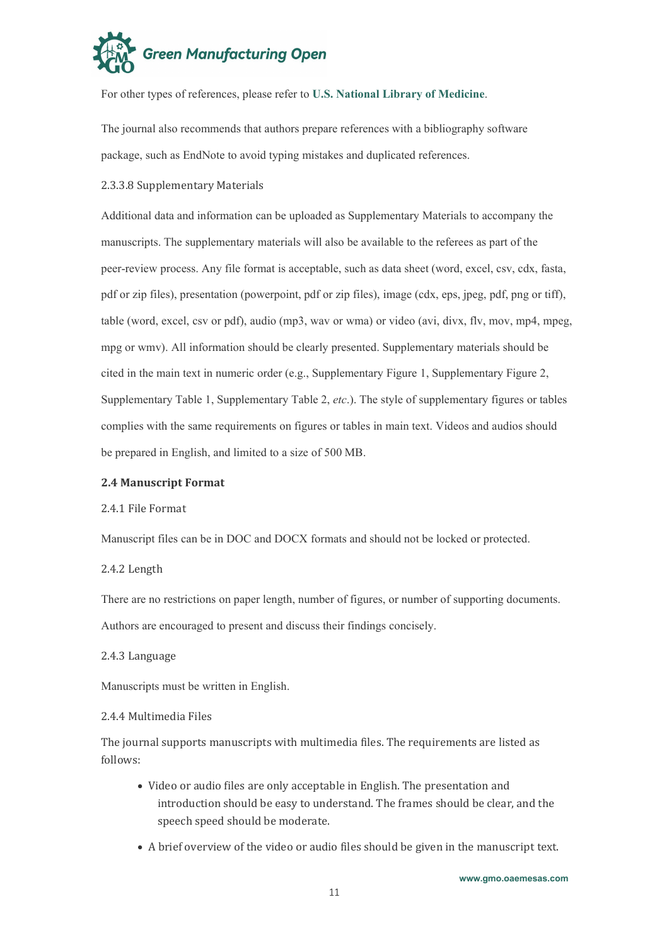

For other types of references, please refer to U.S. National Library of [Medicine](https://www.nlm.nih.gov/bsd/uniform_requirements.html).

The journal also recommends that authors prepare references with a bibliography software package, such as EndNote to avoid typing mistakes and duplicated references.

# <span id="page-10-0"></span>2.3.3.8 Supplementary Materials

Additional data and information can be uploaded as Supplementary Materials to accompany the manuscripts. The supplementary materials will also be available to the referees as part of the peer-review process. Any file format is acceptable, such as data sheet (word, excel, csv, cdx, fasta, pdf or zip files), presentation (powerpoint, pdf or zip files), image (cdx, eps, jpeg, pdf, png or tiff), table (word, excel, csv or pdf), audio (mp3, wav or wma) or video (avi, divx, flv, mov, mp4, mpeg, mpg or wmv). All information should be clearly presented. Supplementary materials should be cited in the main text in numeric order (e.g., Supplementary Figure 1, Supplementary Figure 2, Supplementary Table 1, Supplementary Table 2, *etc*.). The style of supplementary figures ortables complies with the same requirements on figures or tables in main text. Videos and audios should be prepared in English, and limited to a size of 500 MB.

#### <span id="page-10-1"></span>**2.4 Manuscript Format**

<span id="page-10-2"></span>2.4.1 File Format

Manuscript files can be in DOC and DOCX formats and should not be locked or protected.

<span id="page-10-3"></span>2.4.2 Length

There are no restrictions on paper length, number of figures, or number of supporting documents. Authors are encouraged to present and discuss their findings concisely.

<span id="page-10-4"></span>2.4.3 Language

Manuscripts must be written in English.

#### <span id="page-10-5"></span>2.4.4 Multimedia Files

The journal supports manuscripts with multimedia files. The requirements are listed as follows:

- Video or audio files are only acceptable in English. The presentation and introduction should be easy to understand. The frames should be clear, and the speech speed should bemoderate.
- A brief overview of the video or audio files should begiven in the manuscript text.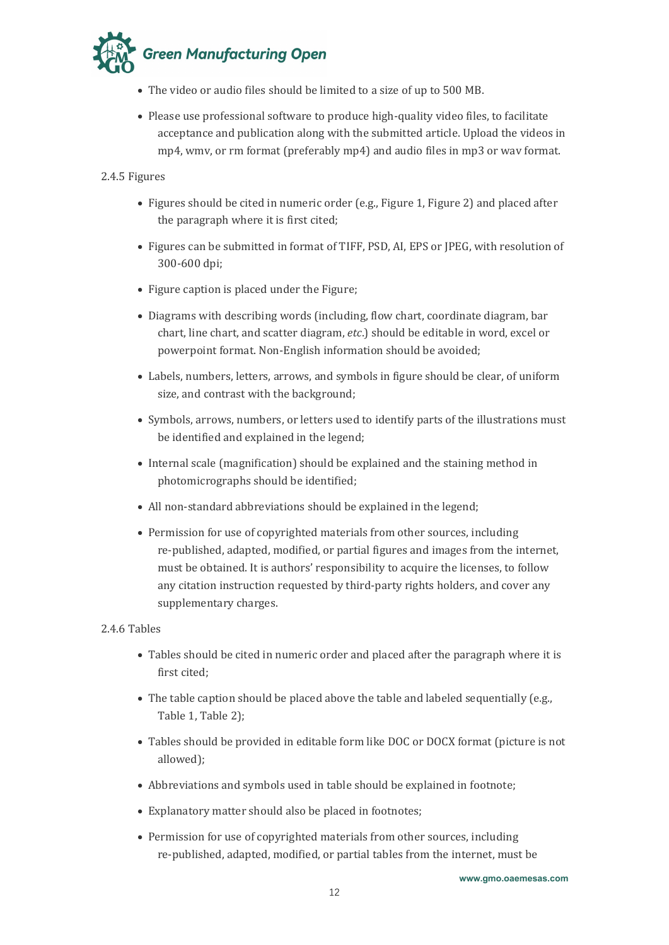

- The video or audio files should be limited to a size of up to 500 MB.
- Please use professional software to produce high-quality video files, to facilitate acceptance and publication along with the submitted article. Upload the videos in mp4, wmv, or rm format (preferably mp4) and audio files in mp3 or wav format.

# <span id="page-11-0"></span>2.4.5 Figures

- Figures should be cited in numeric order (e.g., Figure 1, Figure 2) and placed after the paragraph where it is first cited;
- Figures can be submitted in format of TIFF, PSD, AI, EPS or IPEG, with resolution of 300-600 dpi;
- Figure caption is placed under the Figure;
- Diagrams with describing words (including, flow chart, coordinate diagram, bar chart, line chart, and scatter diagram, *etc*.) should be editable in word, excel or powerpoint format. Non-English information should be avoided;
- Labels, numbers, letters, arrows, and symbols in figure should be clear, of uniform size, and contrast with the background;
- Symbols, arrows, numbers, or letters used to identify parts of the illustrations must be identified and explained in the legend;
- Internal scale (magnification) should be explained and the staining method in photomicrographs should be identified;
- All non-standard abbreviations should be explained in the legend;
- Permission for use of copyrighted materials from other sources, including re-published, adapted, modified, or partial figures and images from the internet, must be obtained. It is authors' responsibility to acquire the licenses, to follow any citation instruction requested by third-party rights holders, and cover any supplementary charges.

# <span id="page-11-1"></span>2.4.6 Tables

- Tables should be cited in numeric order and placed after the paragraph where it is first cited;
- $\bullet$  The table caption should be placed above the table and labeled sequentially (e.g., Table 1, Table 2);
- Tables should be provided in editable form like DOC or DOCX format (picture is not allowed);
- Abbreviations and symbols used in table should be explained in footnote;
- Explanatory matter should also be placed in footnotes;
- Permission for use of copyrighted materials from other sources, including re-published, adapted, modified, or partial tables from the internet, must be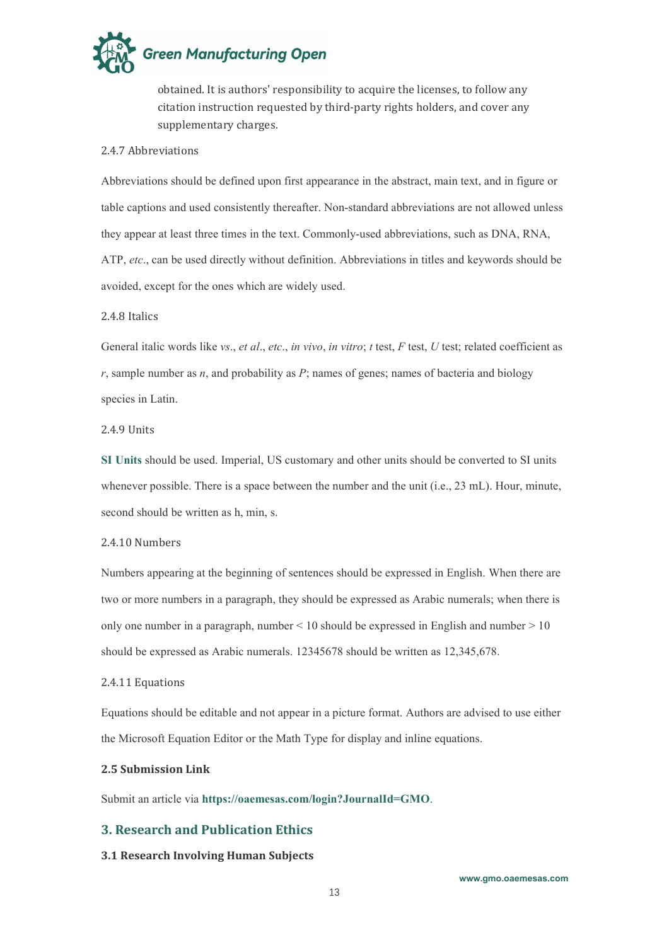

obtained. It is authors' responsibility to acquire the licenses, to follow any citation instruction requested by third-party rights holders, and cover any supplementary charges.

#### <span id="page-12-0"></span>2.4.7 Abbreviations

Abbreviations should be defined upon first appearance in the abstract, main text, and in figure or table captions and used consistently thereafter. Non-standard abbreviations are not allowed unless they appear at least three times in the text. Commonly-used abbreviations, such as DNA, RNA, ATP, *etc*., can be used directly without definition. Abbreviations in titles and keywords should be avoided, except for the ones which are widely used.

# <span id="page-12-1"></span>2.4.8 Italics

General italic words like *vs*., *et al*., *etc*., *in vivo*, *in vitro*; *t* test, *F* test, *U* test; related coefficient as  $r$ , sample number as  $n$ , and probability as  $P$ ; names of genes; names of bacteria and biology species in Latin.

#### <span id="page-12-2"></span>2.4.9 Units

**SI [Units](https://www.nist.gov/pml/weights-and-measures/si-units)** should be used. Imperial, US customary and other units should be converted to SI units whenever possible. There is a space between the number and the unit (i.e., 23 mL). Hour, minute, second should be written as h, min, s.

#### <span id="page-12-3"></span>2.4.10 Numbers

Numbers appearing at the beginning of sentences should be expressed in English. When there are two or more numbers in a paragraph, they should be expressed as Arabic numerals; when there is only one number in a paragraph, number  $\leq 10$  should be expressed in English and number  $> 10$ should be expressed as Arabic numerals. 12345678 should be written as 12,345,678.

#### <span id="page-12-4"></span>2.4.11 Equations

Equations should be editable and not appear in a picture format. Authors are advised to use either the Microsoft Equation Editor or the Math Type for display and inline equations.

# <span id="page-12-5"></span>**2.5 Submission Link**

Submit an article via **[https://oaemesas.com/login?JournalId=GMO](https://oaemesas.com/login?JournalId=gmo)**.

# <span id="page-12-6"></span>**3. Research and Publication Ethics**

#### <span id="page-12-7"></span>**3.1 Research Involving Human Subjects**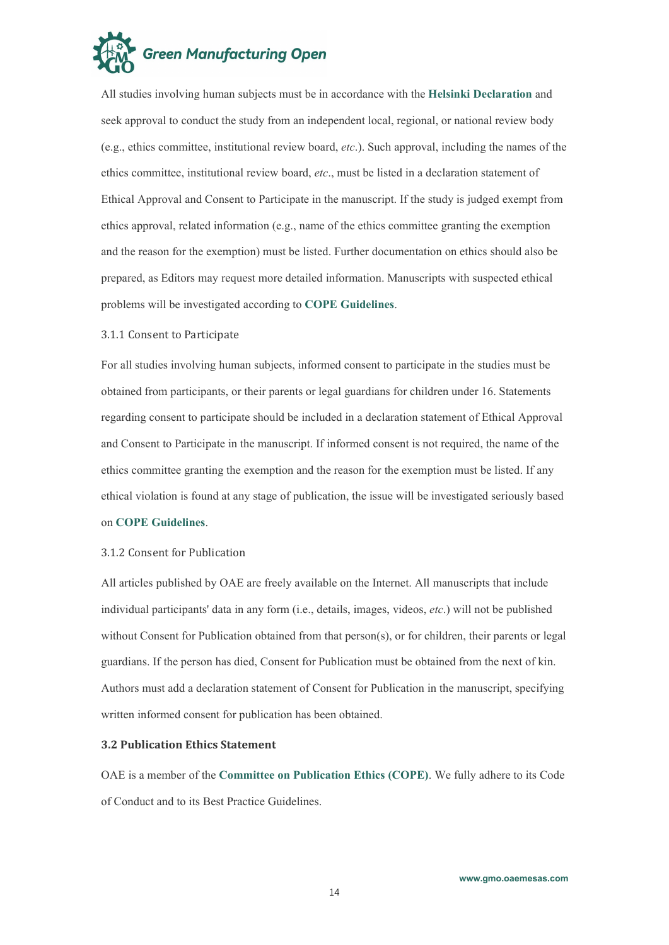

All studies involving human subjects must be in accordance with the **Helsinki [Declaration](https://www.wma.net/policies-post/wma-declaration-of-helsinki-ethical-principles-for-medical-research-involving-human-subjects/)** and seek approval to conduct the study from an independent local, regional, or national review body (e.g., ethics committee, institutional review board, *etc*.). Such approval, including the names ofthe ethics committee, institutional review board, *etc*., must be listed in a declaration statement of Ethical Approval and Consent to Participate in the manuscript. If the study is judged exempt from ethics approval, related information (e.g., name of the ethics committee granting the exemption and the reason for the exemption) must be listed. Further documentation on ethics should also be prepared, as Editors may request more detailed information. Manuscripts with suspected ethical problems will be investigated according to **COPE [Guidelines](https://publicationethics.org/guidance/Guidelines)**.

#### <span id="page-13-0"></span>3.1.1 Consent to Participate

For all studies involving human subjects, informed consent to participate in the studies must be obtained from participants, or their parents or legal guardians for children under 16. Statements regarding consent to participate should be included in a declaration statement of Ethical Approval and Consent to Participate in the manuscript. If informed consent is not required, the name of the ethics committee granting the exemption and the reason for the exemption must be listed. If any ethical violation is found at any stage of publication, the issue will be investigated seriously based on **COPE [Guidelines](https://publicationethics.org/guidance/Guidelines)**.

#### <span id="page-13-1"></span>3.1.2 Consent for Publication

All articles published by OAE are freely available on the Internet. All manuscripts that include individual participants' data in any form (i.e., details, images, videos, *etc*.) will not be published without Consent for Publication obtained from that person(s), or for children, their parents or legal guardians. If the person has died, Consent for Publication must be obtained from the next of kin. Authors must add a declaration statement of Consent for Publication in the manuscript, specifying written informed consent for publication has been obtained.

#### <span id="page-13-2"></span>**3.2 Publication Ethics Statement**

OAE is a member of the **Committee on [Publication](https://publicationethics.org/guidance/Flowcharts) Ethics (COPE)**. We fully adhere to its Code of Conduct and to its Best Practice Guidelines.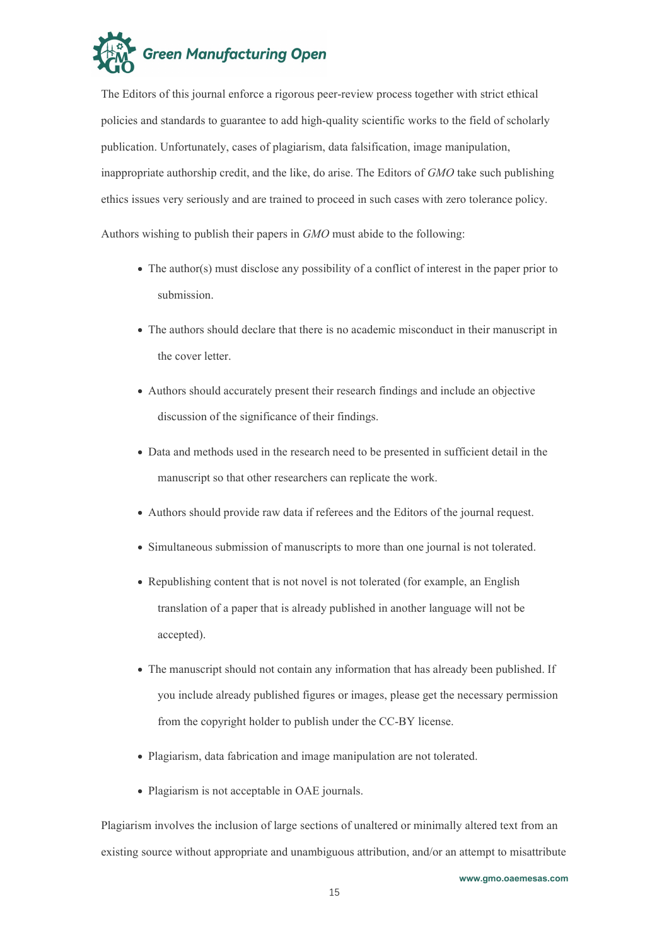

The Editors of this journal enforce a rigorous peer-review process together with strict ethical policies and standards to guarantee to add high-quality scientific works to the field of scholarly publication. Unfortunately, cases of plagiarism, data falsification, image manipulation, inappropriate authorship credit, and the like, do arise. The Editors of *GMO* take such publishing ethics issues very seriously and are trained to proceed in such cases with zero tolerance policy.

Authors wishing to publish their papers in *GMO* must abide to the following:

- The author(s) must disclose any possibility of a conflict of interest in the paper prior to submission.
- The authors should declare that there is no academic misconduct in their manuscript in the cover letter.
- Authors should accurately present their research findings and include an objective discussion of the significance of their findings.
- Data and methods used in the research need to be presented in sufficient detail in the manuscript so that other researchers can replicate the work.
- Authors should provide raw data if referees and the Editors of the journal request.
- Simultaneous submission of manuscripts to more than one journal is not tolerated.
- Republishing content that is not novel is not tolerated (for example, an English translation of a paper that is already published in another language will not be accepted).
- The manuscript should not contain any information that has already been published. If you include already published figures or images, please get the necessary permission from the copyright holder to publish under the CC-BY license.
- Plagiarism, data fabrication and image manipulation are not tolerated.
- Plagiarism is not acceptable in OAE journals.

Plagiarism involves the inclusion of large sections of unaltered or minimally altered text from an existing source without appropriate and unambiguous attribution, and/or an attempt to misattribute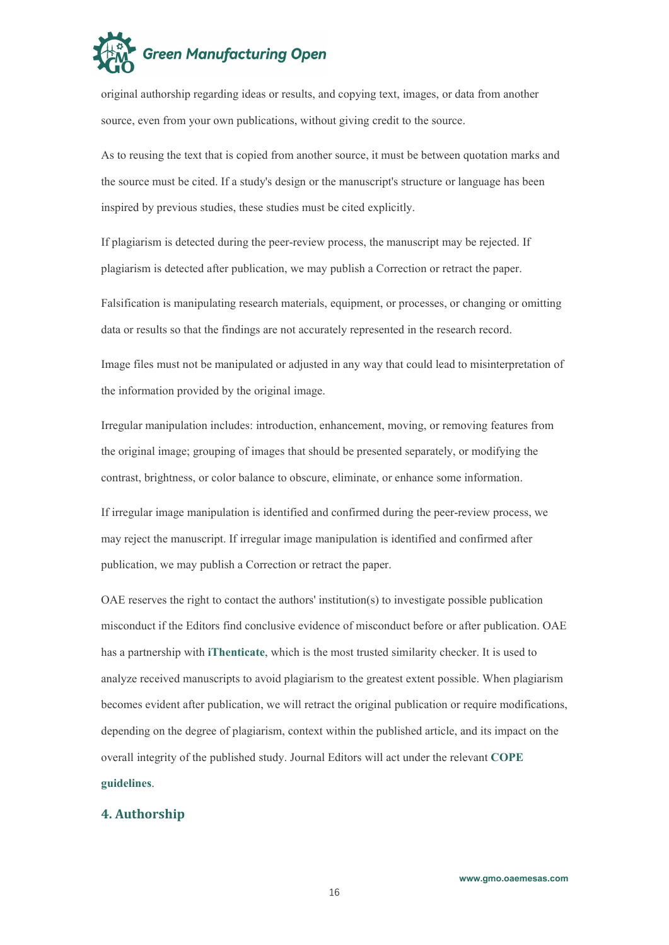

original authorship regarding ideas orresults, and copying text, images, or data from another source, even from your own publications, without giving credit to the source.

As to reusing the text that is copied from another source, it must be between quotation marks and the source must be cited. If a study's design or the manuscript's structure or language has been inspired by previous studies, these studies must be cited explicitly.

If plagiarism is detected during the peer-review process, the manuscript may be rejected.If plagiarism is detected after publication, we may publish a Correction or retract the paper.

Falsification is manipulating research materials, equipment, or processes, or changing or omitting data or results so that the findings are not accurately represented in the research record.

Image files must not be manipulated or adjusted in any way that could lead to misinterpretation of the information provided by the original image.

Irregular manipulation includes: introduction, enhancement, moving, or removing features from the original image; grouping of images that should be presented separately, or modifying the contrast, brightness, or color balance to obscure, eliminate, or enhance some information.

If irregular image manipulation is identified and confirmed during the peer-review process, we may reject the manuscript. If irregular image manipulation is identified and confirmed after publication, we may publish a Correction or retract the paper.

OAE reserves the right to contact the authors' institution(s) to investigate possible publication misconduct if the Editors find conclusive evidence of misconduct before or after publication. OAE has a partnership with **[iThenticate](http://www.ithenticate.com/)**, which is the most trusted similarity checker. It is used to analyze received manuscripts to avoid plagiarism to the greatest extent possible. When plagiarism becomes evident after publication, we will retract the original publication or require modifications, depending on the degree of plagiarism, context within the published article, and its impacton the overall integrity of the published study. Journal Editors will act under the relevant **[COPE](https://publicationethics.org/guidance/Guidelines) guidelines**.

#### <span id="page-15-0"></span>**4. Authorship**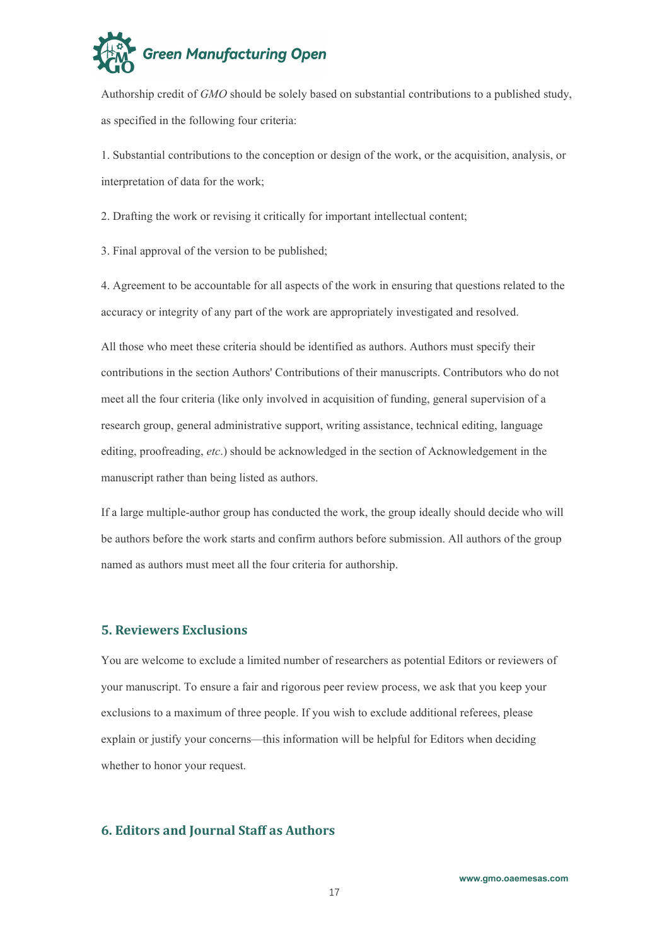

Authorship credit of *GMO* should be solely based on substantial contributions to a published study, as specified in the following four criteria:

1. Substantial contributions to the conception or design of the work, or the acquisition, analysis, or interpretation of data for the work;

2. Drafting the work or revising it critically for important intellectual content;

3. Final approval of the version to be published;

4. Agreement to be accountable for all aspects of the work in ensuring that questions related to the accuracy or integrity of any part of the work are appropriately investigated and resolved.

All those who meet these criteria should be identified as authors. Authors mustspecify their contributions in the section Authors' Contributions of their manuscripts. Contributors who do not meet all the four criteria (like only involved in acquisition of funding, general supervision of a research group, general administrative support, writing assistance, technical editing, language editing, proofreading, *etc*.) should be acknowledged in the section of Acknowledgement in the manuscript rather than being listed as authors.

If a large multiple-author group has conducted the work, the group ideally should decide who will be authors before the work starts and confirm authors before submission. All authors of the group named as authors must meet all the four criteria for authorship.

#### <span id="page-16-0"></span>**5. Reviewers Exclusions**

You are welcome to exclude a limited number of researchers as potential Editors or reviewers of your manuscript. To ensure a fair and rigorous peer review process, we ask that you keep your exclusions to a maximum of three people. If you wish to exclude additional referees, please explain or justify your concerns—this information will be helpful for Editors when deciding whether to honor your request.

# <span id="page-16-1"></span>**6. Editors and Journal Staff as Authors**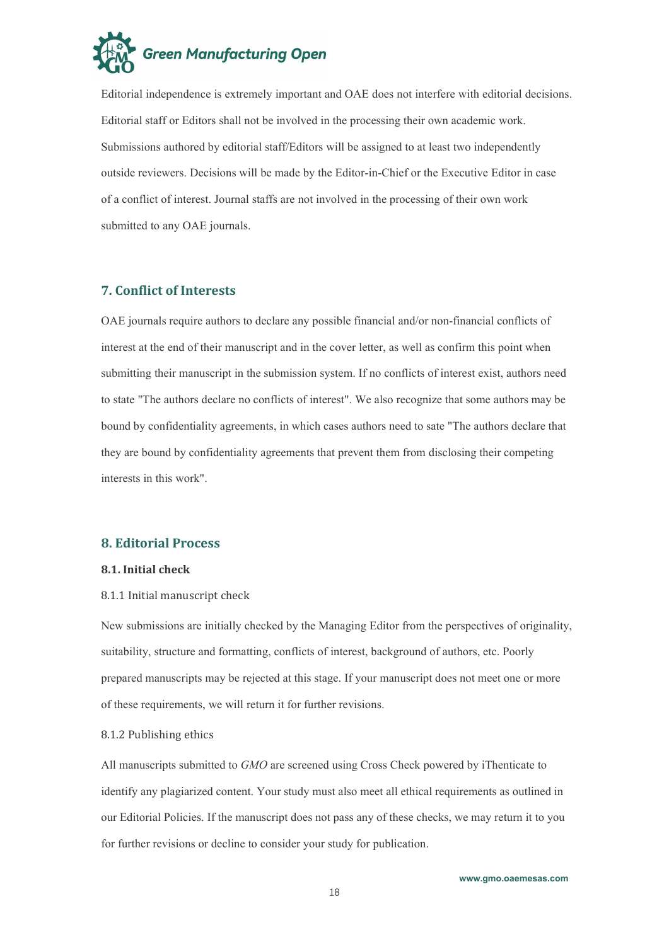

Editorial independence is extremely important and OAE does not interfere with editorial decisions. Editorial staff or Editors shall not be involved in the processing their own academic work. Submissions authored by editorial staff/Editors will be assigned to at least two independently outside reviewers. Decisions will be made by the Editor-in-Chief or the Executive Editor in case of a conflict of interest. Journal staffs are not involved in the processing of their own work submitted to any OAE journals.

# <span id="page-17-0"></span>**7. Conflict of Interests**

OAE journals require authors to declare any possible financial and/or non-financial conflicts of interest at the end of their manuscript and in the cover letter, as well as confirm this point when submitting their manuscript in the submission system. If no conflicts of interest exist, authors need to state "The authors declare no conflicts of interest". We also recognize that some authors may be bound by confidentiality agreements, in which cases authors need to sate "The authors declare that they are bound by confidentiality agreements that prevent them from disclosing their competing interests in this work".

#### <span id="page-17-1"></span>**8. Editorial Process**

#### <span id="page-17-2"></span>**8.1. Initial check**

#### <span id="page-17-3"></span>8.1.1 Initial manuscript check

New submissions are initially checked by the Managing Editor from the perspectives of originality, suitability, structure and formatting, conflicts of interest, background of authors, etc. Poorly prepared manuscripts may be rejected at this stage. If your manuscript does not meet one or more of these requirements, we will return it for further revisions.

#### <span id="page-17-4"></span>8.1.2 Publishing ethics

All manuscripts submitted to *GMO* are screened using Cross Check powered by [iThenticate](https://www.ithenticate.com/) to identify any plagiarized content. Your study must also meet all ethical requirements as outlined in our [Editorial](https://jmijournal.com/pages/view/editorial_policies) Policies. If the manuscript does not pass any of these checks, we may return it to you for further revisions or decline to consider your study for publication.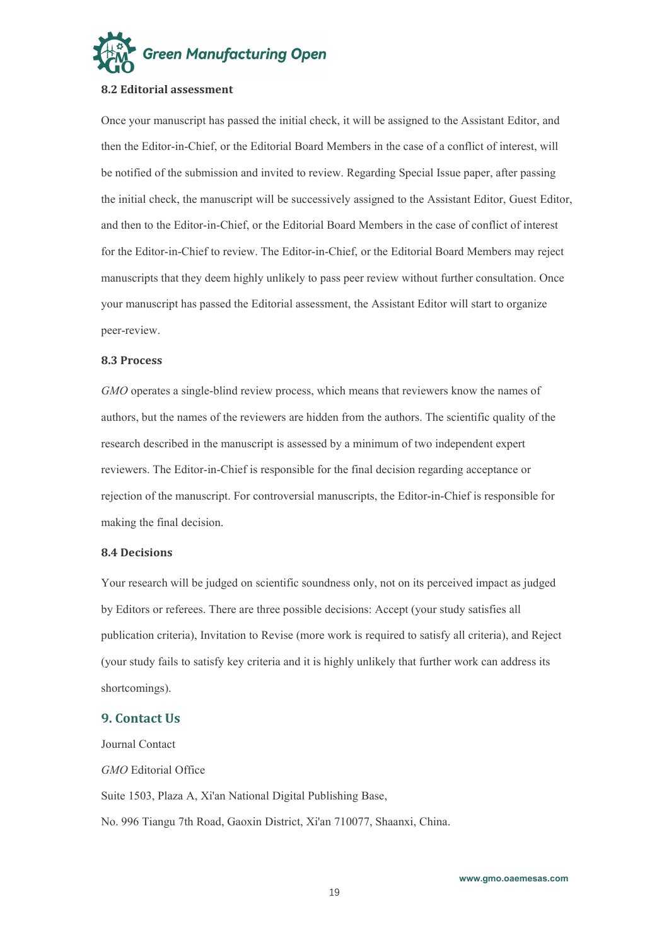

#### <span id="page-18-0"></span>**8.2 Editorial assessment**

Once your manuscript has passed the initial check, it will be assigned to the Assistant Editor, and then the Editor-in-Chief, or the Editorial Board Members in the case of a conflict of interest, will be notified of the submission and invited to review. Regarding Special Issue paper, after passing the initial check, the manuscript will be successively assigned to the Assistant Editor, Guest Editor, and then to the Editor-in-Chief, or the Editorial Board Members in the case of conflict of interest for the Editor-in-Chief to review. The Editor-in-Chief, or the Editorial Board Members may reject manuscripts that they deem highly unlikely to pass peer review without further consultation. Once your manuscript has passed the Editorial assessment, the Assistant Editor will start to organize peer-review.

#### <span id="page-18-1"></span>**8.3 Process**

*GMO* operates a single-blind review process, which means that reviewers know the names of authors, but the names of the reviewers are hidden from the authors. The scientific quality of the research described in the manuscript is assessed by a minimum of two independent expert reviewers. The Editor-in-Chief is responsible for the final decision regarding acceptance or rejection of the manuscript. For controversial manuscripts, the Editor-in-Chief is responsible for making the final decision.

#### <span id="page-18-2"></span>**8.4 Decisions**

Your research will be judged on scientific soundness only, not on its perceived impact as judged by Editors or referees. There are three possible decisions: Accept (your study satisfies all publication criteria), Invitation to Revise (more work is required to satisfy all criteria), and Reject (your study fails to satisfy key criteria and it is highly unlikely that further work can address its shortcomings).

#### <span id="page-18-3"></span>**9. Contact Us**

Journal Contact *GMO* Editorial Office Suite 1503, Plaza A, Xi'an National Digital Publishing Base, No. 996 Tiangu 7th Road, Gaoxin District, Xi'an 710077, Shaanxi, China.